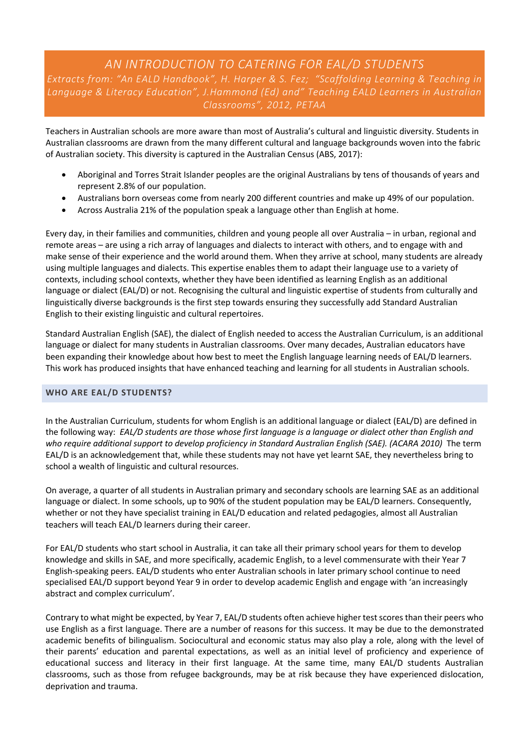# *AN INTRODUCTION TO CATERING FOR EAL/D STUDENTS*

*Extracts from: "An EALD Handbook", H. Harper & S. Fez; "Scaffolding Learning & Teaching in Language & Literacy Education", J.Hammond (Ed) and" Teaching EALD Learners in Australian Classrooms", 2012, PETAA*

Teachers in Australian schools are more aware than most of Australia's cultural and linguistic diversity. Students in Australian classrooms are drawn from the many different cultural and language backgrounds woven into the fabric of Australian society. This diversity is captured in the Australian Census (ABS, 2017):

- Aboriginal and Torres Strait Islander peoples are the original Australians by tens of thousands of years and represent 2.8% of our population.
- Australians born overseas come from nearly 200 different countries and make up 49% of our population.
- Across Australia 21% of the population speak a language other than English at home.

Every day, in their families and communities, children and young people all over Australia – in urban, regional and remote areas – are using a rich array of languages and dialects to interact with others, and to engage with and make sense of their experience and the world around them. When they arrive at school, many students are already using multiple languages and dialects. This expertise enables them to adapt their language use to a variety of contexts, including school contexts, whether they have been identified as learning English as an additional language or dialect (EAL/D) or not. Recognising the cultural and linguistic expertise of students from culturally and linguistically diverse backgrounds is the first step towards ensuring they successfully add Standard Australian English to their existing linguistic and cultural repertoires.

Standard Australian English (SAE), the dialect of English needed to access the Australian Curriculum, is an additional language or dialect for many students in Australian classrooms. Over many decades, Australian educators have been expanding their knowledge about how best to meet the English language learning needs of EAL/D learners. This work has produced insights that have enhanced teaching and learning for all students in Australian schools.

#### **WHO ARE EAL/D STUDENTS?**

In the Australian Curriculum, students for whom English is an additional language or dialect (EAL/D) are defined in the following way: *EAL/D students are those whose first language is a language or dialect other than English and who require additional support to develop proficiency in Standard Australian English (SAE). (ACARA 2010)* The term EAL/D is an acknowledgement that, while these students may not have yet learnt SAE, they nevertheless bring to school a wealth of linguistic and cultural resources.

On average, a quarter of all students in Australian primary and secondary schools are learning SAE as an additional language or dialect. In some schools, up to 90% of the student population may be EAL/D learners. Consequently, whether or not they have specialist training in EAL/D education and related pedagogies, almost all Australian teachers will teach EAL/D learners during their career.

For EAL/D students who start school in Australia, it can take all their primary school years for them to develop knowledge and skills in SAE, and more specifically, academic English, to a level commensurate with their Year 7 English-speaking peers. EAL/D students who enter Australian schools in later primary school continue to need specialised EAL/D support beyond Year 9 in order to develop academic English and engage with 'an increasingly abstract and complex curriculum'.

Contrary to what might be expected, by Year 7, EAL/D students often achieve higher test scores than their peers who use English as a first language. There are a number of reasons for this success. It may be due to the demonstrated academic benefits of bilingualism. Sociocultural and economic status may also play a role, along with the level of their parents' education and parental expectations, as well as an initial level of proficiency and experience of educational success and literacy in their first language. At the same time, many EAL/D students Australian classrooms, such as those from refugee backgrounds, may be at risk because they have experienced dislocation, deprivation and trauma.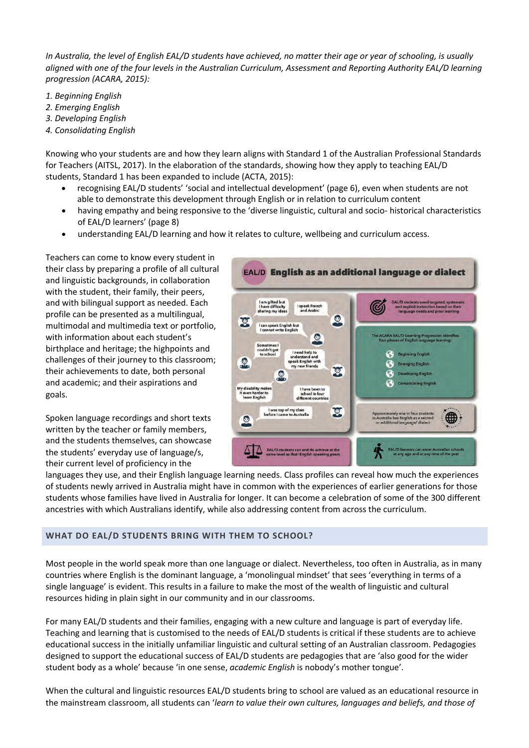*In Australia, the level of English EAL/D students have achieved, no matter their age or year of schooling, is usually aligned with one of the four levels in the Australian Curriculum, Assessment and Reporting Authority EAL/D learning progression (ACARA, 2015):* 

- *1. Beginning English*
- *2. Emerging English*
- *3. Developing English*
- *4. Consolidating English*

Knowing who your students are and how they learn aligns with Standard 1 of the Australian Professional Standards for Teachers (AITSL, 2017). In the elaboration of the standards, showing how they apply to teaching EAL/D students, Standard 1 has been expanded to include (ACTA, 2015):

- recognising EAL/D students' 'social and intellectual development' (page 6), even when students are not able to demonstrate this development through English or in relation to curriculum content
- having empathy and being responsive to the 'diverse linguistic, cultural and socio- historical characteristics of EAL/D learners' (page 8)
- understanding EAL/D learning and how it relates to culture, wellbeing and curriculum access.

Teachers can come to know every student in their class by preparing a profile of all cultural and linguistic backgrounds, in collaboration with the student, their family, their peers, and with bilingual support as needed. Each profile can be presented as a multilingual, multimodal and multimedia text or portfolio, with information about each student's birthplace and heritage; the highpoints and challenges of their journey to this classroom; their achievements to date, both personal and academic; and their aspirations and goals.

Spoken language recordings and short texts written by the teacher or family members, and the students themselves, can showcase the students' everyday use of language/s, their current level of proficiency in the



languages they use, and their English language learning needs. Class profiles can reveal how much the experiences of students newly arrived in Australia might have in common with the experiences of earlier generations for those students whose families have lived in Australia for longer. It can become a celebration of some of the 300 different ancestries with which Australians identify, while also addressing content from across the curriculum.

#### **WHAT DO EAL/D STUDENTS BRING WITH THEM TO SCHOOL?**

Most people in the world speak more than one language or dialect. Nevertheless, too often in Australia, as in many countries where English is the dominant language, a 'monolingual mindset' that sees 'everything in terms of a single language' is evident. This results in a failure to make the most of the wealth of linguistic and cultural resources hiding in plain sight in our community and in our classrooms.

For many EAL/D students and their families, engaging with a new culture and language is part of everyday life. Teaching and learning that is customised to the needs of EAL/D students is critical if these students are to achieve educational success in the initially unfamiliar linguistic and cultural setting of an Australian classroom. Pedagogies designed to support the educational success of EAL/D students are pedagogies that are 'also good for the wider student body as a whole' because 'in one sense, *academic English* is nobody's mother tongue'.

When the cultural and linguistic resources EAL/D students bring to school are valued as an educational resource in the mainstream classroom, all students can '*learn to value their own cultures, languages and beliefs, and those of*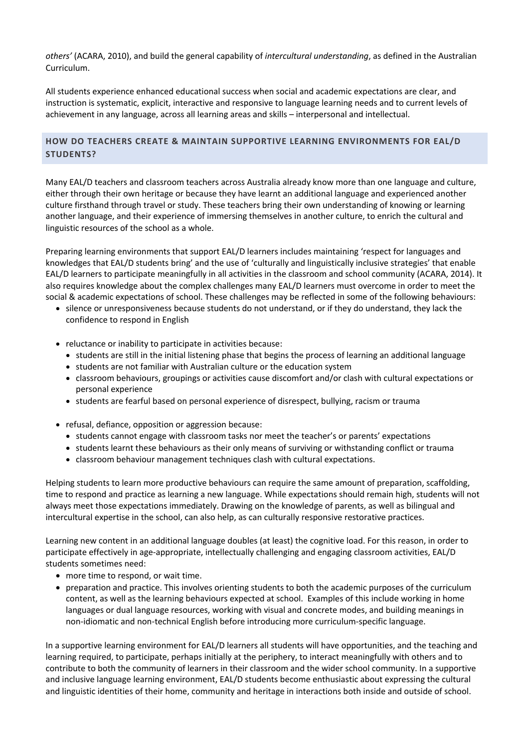*others'* (ACARA, 2010), and build the general capability of *intercultural understanding*, as defined in the Australian Curriculum.

All students experience enhanced educational success when social and academic expectations are clear, and instruction is systematic, explicit, interactive and responsive to language learning needs and to current levels of achievement in any language, across all learning areas and skills – interpersonal and intellectual.

# **HOW DO TEACHERS CREATE & MAINTAIN SUPPORTIVE LEARNING ENVIRONMENTS FOR EAL/D STUDENTS?**

Many EAL/D teachers and classroom teachers across Australia already know more than one language and culture, either through their own heritage or because they have learnt an additional language and experienced another culture firsthand through travel or study. These teachers bring their own understanding of knowing or learning another language, and their experience of immersing themselves in another culture, to enrich the cultural and linguistic resources of the school as a whole.

Preparing learning environments that support EAL/D learners includes maintaining 'respect for languages and knowledges that EAL/D students bring' and the use of 'culturally and linguistically inclusive strategies' that enable EAL/D learners to participate meaningfully in all activities in the classroom and school community (ACARA, 2014). It also requires knowledge about the complex challenges many EAL/D learners must overcome in order to meet the social & academic expectations of school. These challenges may be reflected in some of the following behaviours:

- silence or unresponsiveness because students do not understand, or if they do understand, they lack the confidence to respond in English
- reluctance or inability to participate in activities because:
	- students are still in the initial listening phase that begins the process of learning an additional language
	- students are not familiar with Australian culture or the education system
	- classroom behaviours, groupings or activities cause discomfort and/or clash with cultural expectations or personal experience
	- students are fearful based on personal experience of disrespect, bullying, racism or trauma
- refusal, defiance, opposition or aggression because:
	- students cannot engage with classroom tasks nor meet the teacher's or parents' expectations
	- students learnt these behaviours as their only means of surviving or withstanding conflict or trauma
	- classroom behaviour management techniques clash with cultural expectations.

Helping students to learn more productive behaviours can require the same amount of preparation, scaffolding, time to respond and practice as learning a new language. While expectations should remain high, students will not always meet those expectations immediately. Drawing on the knowledge of parents, as well as bilingual and intercultural expertise in the school, can also help, as can culturally responsive restorative practices.

Learning new content in an additional language doubles (at least) the cognitive load. For this reason, in order to participate effectively in age-appropriate, intellectually challenging and engaging classroom activities, EAL/D students sometimes need:

- more time to respond, or wait time.
- preparation and practice. This involves orienting students to both the academic purposes of the curriculum content, as well as the learning behaviours expected at school. Examples of this include working in home languages or dual language resources, working with visual and concrete modes, and building meanings in non-idiomatic and non-technical English before introducing more curriculum-specific language.

In a supportive learning environment for EAL/D learners all students will have opportunities, and the teaching and learning required, to participate, perhaps initially at the periphery, to interact meaningfully with others and to contribute to both the community of learners in their classroom and the wider school community. In a supportive and inclusive language learning environment, EAL/D students become enthusiastic about expressing the cultural and linguistic identities of their home, community and heritage in interactions both inside and outside of school.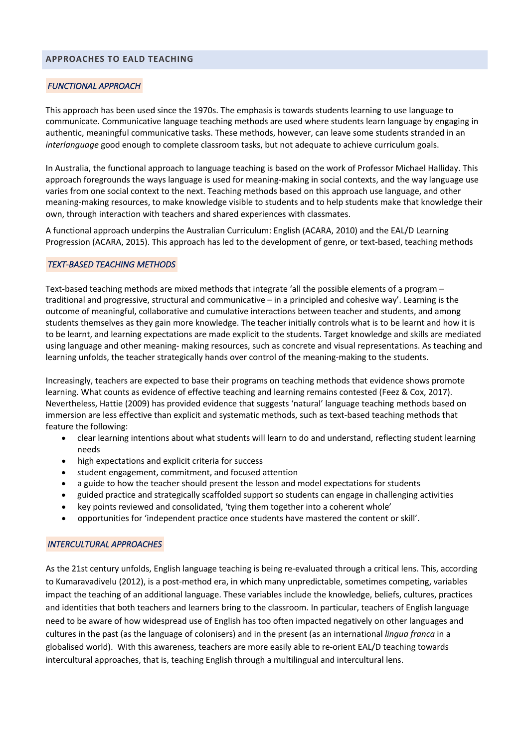#### **APPROACHES TO EALD TEACHING**

#### *FUNCTIONAL APPROACH*

This approach has been used since the 1970s. The emphasis is towards students learning to use language to communicate. Communicative language teaching methods are used where students learn language by engaging in authentic, meaningful communicative tasks. These methods, however, can leave some students stranded in an *interlanguage* good enough to complete classroom tasks, but not adequate to achieve curriculum goals.

In Australia, the functional approach to language teaching is based on the work of Professor Michael Halliday. This approach foregrounds the ways language is used for meaning-making in social contexts, and the way language use varies from one social context to the next. Teaching methods based on this approach use language, and other meaning-making resources, to make knowledge visible to students and to help students make that knowledge their own, through interaction with teachers and shared experiences with classmates.

A functional approach underpins the Australian Curriculum: English (ACARA, 2010) and the EAL/D Learning Progression (ACARA, 2015). This approach has led to the development of genre, or text-based, teaching methods

#### *TEXT-BASED TEACHING METHODS*

Text-based teaching methods are mixed methods that integrate 'all the possible elements of a program – traditional and progressive, structural and communicative – in a principled and cohesive way'. Learning is the outcome of meaningful, collaborative and cumulative interactions between teacher and students, and among students themselves as they gain more knowledge. The teacher initially controls what is to be learnt and how it is to be learnt, and learning expectations are made explicit to the students. Target knowledge and skills are mediated using language and other meaning- making resources, such as concrete and visual representations. As teaching and learning unfolds, the teacher strategically hands over control of the meaning-making to the students.

Increasingly, teachers are expected to base their programs on teaching methods that evidence shows promote learning. What counts as evidence of effective teaching and learning remains contested (Feez & Cox, 2017). Nevertheless, Hattie (2009) has provided evidence that suggests 'natural' language teaching methods based on immersion are less effective than explicit and systematic methods, such as text-based teaching methods that feature the following:

- clear learning intentions about what students will learn to do and understand, reflecting student learning needs
- high expectations and explicit criteria for success
- student engagement, commitment, and focused attention
- a guide to how the teacher should present the lesson and model expectations for students
- guided practice and strategically scaffolded support so students can engage in challenging activities
- key points reviewed and consolidated, 'tying them together into a coherent whole'
- opportunities for 'independent practice once students have mastered the content or skill'.

#### *INTERCULTURAL APPROACHES*

As the 21st century unfolds, English language teaching is being re-evaluated through a critical lens. This, according to Kumaravadivelu (2012), is a post-method era, in which many unpredictable, sometimes competing, variables impact the teaching of an additional language. These variables include the knowledge, beliefs, cultures, practices and identities that both teachers and learners bring to the classroom. In particular, teachers of English language need to be aware of how widespread use of English has too often impacted negatively on other languages and cultures in the past (as the language of colonisers) and in the present (as an international *lingua franca* in a globalised world). With this awareness, teachers are more easily able to re-orient EAL/D teaching towards intercultural approaches, that is, teaching English through a multilingual and intercultural lens.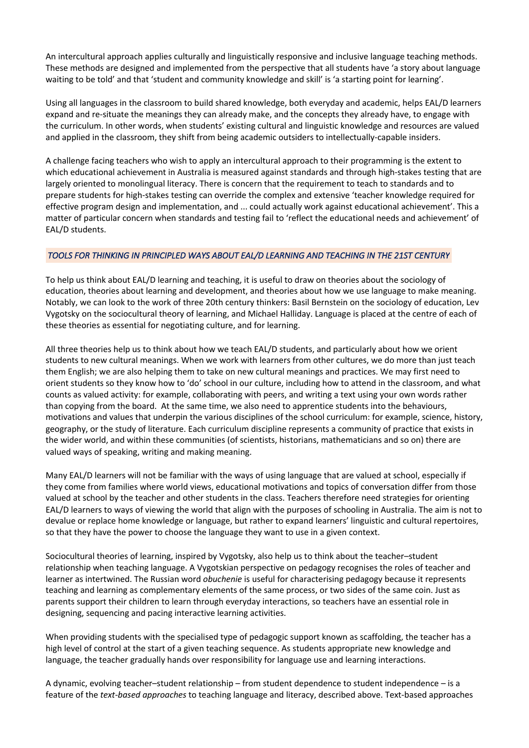An intercultural approach applies culturally and linguistically responsive and inclusive language teaching methods. These methods are designed and implemented from the perspective that all students have 'a story about language waiting to be told' and that 'student and community knowledge and skill' is 'a starting point for learning'.

Using all languages in the classroom to build shared knowledge, both everyday and academic, helps EAL/D learners expand and re-situate the meanings they can already make, and the concepts they already have, to engage with the curriculum. In other words, when students' existing cultural and linguistic knowledge and resources are valued and applied in the classroom, they shift from being academic outsiders to intellectually-capable insiders.

A challenge facing teachers who wish to apply an intercultural approach to their programming is the extent to which educational achievement in Australia is measured against standards and through high-stakes testing that are largely oriented to monolingual literacy. There is concern that the requirement to teach to standards and to prepare students for high-stakes testing can override the complex and extensive 'teacher knowledge required for effective program design and implementation, and ... could actually work against educational achievement'. This a matter of particular concern when standards and testing fail to 'reflect the educational needs and achievement' of EAL/D students.

#### *TOOLS FOR THINKING IN PRINCIPLED WAYS ABOUT EAL/D LEARNING AND TEACHING IN THE 21ST CENTURY*

To help us think about EAL/D learning and teaching, it is useful to draw on theories about the sociology of education, theories about learning and development, and theories about how we use language to make meaning. Notably, we can look to the work of three 20th century thinkers: Basil Bernstein on the sociology of education, Lev Vygotsky on the sociocultural theory of learning, and Michael Halliday. Language is placed at the centre of each of these theories as essential for negotiating culture, and for learning.

All three theories help us to think about how we teach EAL/D students, and particularly about how we orient students to new cultural meanings. When we work with learners from other cultures, we do more than just teach them English; we are also helping them to take on new cultural meanings and practices. We may first need to orient students so they know how to 'do' school in our culture, including how to attend in the classroom, and what counts as valued activity: for example, collaborating with peers, and writing a text using your own words rather than copying from the board. At the same time, we also need to apprentice students into the behaviours, motivations and values that underpin the various disciplines of the school curriculum: for example, science, history, geography, or the study of literature. Each curriculum discipline represents a community of practice that exists in the wider world, and within these communities (of scientists, historians, mathematicians and so on) there are valued ways of speaking, writing and making meaning.

Many EAL/D learners will not be familiar with the ways of using language that are valued at school, especially if they come from families where world views, educational motivations and topics of conversation differ from those valued at school by the teacher and other students in the class. Teachers therefore need strategies for orienting EAL/D learners to ways of viewing the world that align with the purposes of schooling in Australia. The aim is not to devalue or replace home knowledge or language, but rather to expand learners' linguistic and cultural repertoires, so that they have the power to choose the language they want to use in a given context.

Sociocultural theories of learning, inspired by Vygotsky, also help us to think about the teacher–student relationship when teaching language. A Vygotskian perspective on pedagogy recognises the roles of teacher and learner as intertwined. The Russian word *obuchenie* is useful for characterising pedagogy because it represents teaching and learning as complementary elements of the same process, or two sides of the same coin. Just as parents support their children to learn through everyday interactions, so teachers have an essential role in designing, sequencing and pacing interactive learning activities.

When providing students with the specialised type of pedagogic support known as scaffolding, the teacher has a high level of control at the start of a given teaching sequence. As students appropriate new knowledge and language, the teacher gradually hands over responsibility for language use and learning interactions.

A dynamic, evolving teacher–student relationship – from student dependence to student independence – is a feature of the *text-based approaches* to teaching language and literacy, described above. Text-based approaches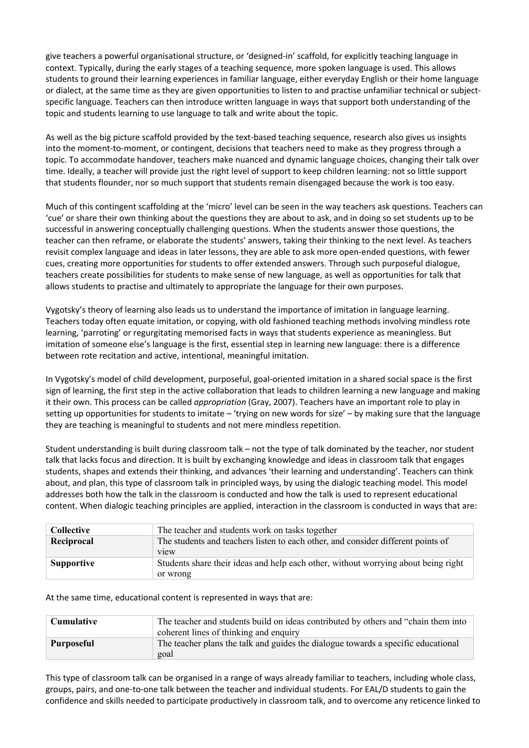give teachers a powerful organisational structure, or 'designed-in' scaffold, for explicitly teaching language in context. Typically, during the early stages of a teaching sequence, more spoken language is used. This allows students to ground their learning experiences in familiar language, either everyday English or their home language or dialect, at the same time as they are given opportunities to listen to and practise unfamiliar technical or subjectspecific language. Teachers can then introduce written language in ways that support both understanding of the topic and students learning to use language to talk and write about the topic.

As well as the big picture scaffold provided by the text-based teaching sequence, research also gives us insights into the moment-to-moment, or contingent, decisions that teachers need to make as they progress through a topic. To accommodate handover, teachers make nuanced and dynamic language choices, changing their talk over time. Ideally, a teacher will provide just the right level of support to keep children learning: not so little support that students flounder, nor so much support that students remain disengaged because the work is too easy.

Much of this contingent scaffolding at the 'micro' level can be seen in the way teachers ask questions. Teachers can 'cue' or share their own thinking about the questions they are about to ask, and in doing so set students up to be successful in answering conceptually challenging questions. When the students answer those questions, the teacher can then reframe, or elaborate the students' answers, taking their thinking to the next level. As teachers revisit complex language and ideas in later lessons, they are able to ask more open-ended questions, with fewer cues, creating more opportunities for students to offer extended answers. Through such purposeful dialogue, teachers create possibilities for students to make sense of new language, as well as opportunities for talk that allows students to practise and ultimately to appropriate the language for their own purposes.

Vygotsky's theory of learning also leads us to understand the importance of imitation in language learning. Teachers today often equate imitation, or copying, with old fashioned teaching methods involving mindless rote learning, 'parroting' or regurgitating memorised facts in ways that students experience as meaningless. But imitation of someone else's language is the first, essential step in learning new language: there is a difference between rote recitation and active, intentional, meaningful imitation.

In Vygotsky's model of child development, purposeful, goal-oriented imitation in a shared social space is the first sign of learning, the first step in the active collaboration that leads to children learning a new language and making it their own. This process can be called *appropriation* (Gray, 2007). Teachers have an important role to play in setting up opportunities for students to imitate – 'trying on new words for size' – by making sure that the language they are teaching is meaningful to students and not mere mindless repetition.

Student understanding is built during classroom talk – not the type of talk dominated by the teacher, nor student talk that lacks focus and direction. It is built by exchanging knowledge and ideas in classroom talk that engages students, shapes and extends their thinking, and advances 'their learning and understanding'. Teachers can think about, and plan, this type of classroom talk in principled ways, by using the dialogic teaching model. This model addresses both how the talk in the classroom is conducted and how the talk is used to represent educational content. When dialogic teaching principles are applied, interaction in the classroom is conducted in ways that are:

| <b>Collective</b> | The teacher and students work on tasks together                                                       |
|-------------------|-------------------------------------------------------------------------------------------------------|
| Reciprocal        | The students and teachers listen to each other, and consider different points of<br>v <sub>1</sub> ew |
| <b>Supportive</b> | Students share their ideas and help each other, without worrying about being right<br>or wrong        |

At the same time, educational content is represented in ways that are:

| Cumulative | The teacher and students build on ideas contributed by others and "chain them into<br>coherent lines of thinking and enquiry |
|------------|------------------------------------------------------------------------------------------------------------------------------|
| Purposeful | The teacher plans the talk and guides the dialogue towards a specific educational<br>goal                                    |

This type of classroom talk can be organised in a range of ways already familiar to teachers, including whole class, groups, pairs, and one-to-one talk between the teacher and individual students. For EAL/D students to gain the confidence and skills needed to participate productively in classroom talk, and to overcome any reticence linked to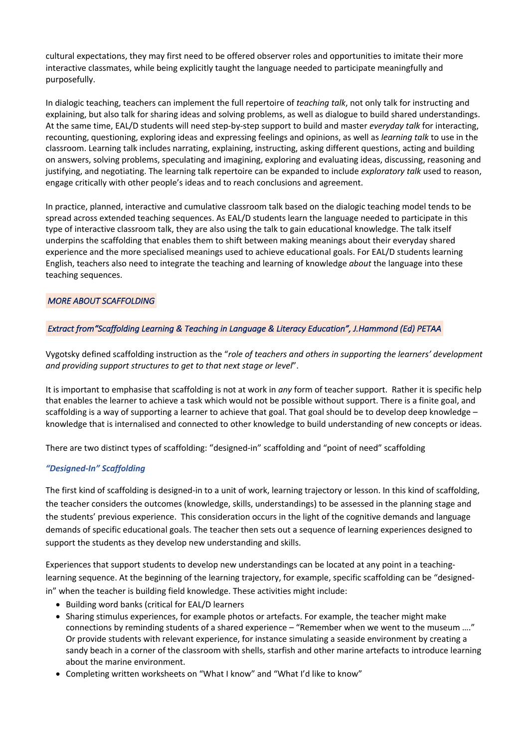cultural expectations, they may first need to be offered observer roles and opportunities to imitate their more interactive classmates, while being explicitly taught the language needed to participate meaningfully and purposefully.

In dialogic teaching, teachers can implement the full repertoire of *teaching talk*, not only talk for instructing and explaining, but also talk for sharing ideas and solving problems, as well as dialogue to build shared understandings. At the same time, EAL/D students will need step-by-step support to build and master *everyday talk* for interacting, recounting, questioning, exploring ideas and expressing feelings and opinions, as well as *learning talk* to use in the classroom. Learning talk includes narrating, explaining, instructing, asking different questions, acting and building on answers, solving problems, speculating and imagining, exploring and evaluating ideas, discussing, reasoning and justifying, and negotiating. The learning talk repertoire can be expanded to include *exploratory talk* used to reason, engage critically with other people's ideas and to reach conclusions and agreement.

In practice, planned, interactive and cumulative classroom talk based on the dialogic teaching model tends to be spread across extended teaching sequences. As EAL/D students learn the language needed to participate in this type of interactive classroom talk, they are also using the talk to gain educational knowledge. The talk itself underpins the scaffolding that enables them to shift between making meanings about their everyday shared experience and the more specialised meanings used to achieve educational goals. For EAL/D students learning English, teachers also need to integrate the teaching and learning of knowledge *about* the language into these teaching sequences.

## *MORE ABOUT SCAFFOLDING*

## *Extract from"Scaffolding Learning & Teaching in Language & Literacy Education", J.Hammond (Ed) PETAA*

Vygotsky defined scaffolding instruction as the "*role of teachers and others in supporting the learners' development and providing support structures to get to that next stage or level*".

It is important to emphasise that scaffolding is not at work in *any* form of teacher support. Rather it is specific help that enables the learner to achieve a task which would not be possible without support. There is a finite goal, and scaffolding is a way of supporting a learner to achieve that goal. That goal should be to develop deep knowledge knowledge that is internalised and connected to other knowledge to build understanding of new concepts or ideas.

There are two distinct types of scaffolding: "designed-in" scaffolding and "point of need" scaffolding

#### *"Designed-In" Scaffolding*

The first kind of scaffolding is designed-in to a unit of work, learning trajectory or lesson. In this kind of scaffolding, the teacher considers the outcomes (knowledge, skills, understandings) to be assessed in the planning stage and the students' previous experience. This consideration occurs in the light of the cognitive demands and language demands of specific educational goals. The teacher then sets out a sequence of learning experiences designed to support the students as they develop new understanding and skills.

Experiences that support students to develop new understandings can be located at any point in a teachinglearning sequence. At the beginning of the learning trajectory, for example, specific scaffolding can be "designedin" when the teacher is building field knowledge. These activities might include:

- Building word banks (critical for EAL/D learners
- Sharing stimulus experiences, for example photos or artefacts. For example, the teacher might make connections by reminding students of a shared experience – "Remember when we went to the museum …." Or provide students with relevant experience, for instance simulating a seaside environment by creating a sandy beach in a corner of the classroom with shells, starfish and other marine artefacts to introduce learning about the marine environment.
- Completing written worksheets on "What I know" and "What I'd like to know"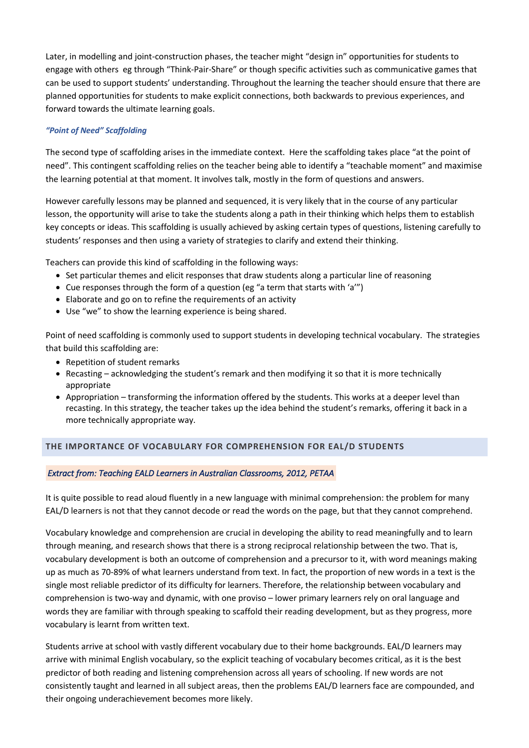Later, in modelling and joint-construction phases, the teacher might "design in" opportunities for students to engage with others eg through "Think-Pair-Share" or though specific activities such as communicative games that can be used to support students' understanding. Throughout the learning the teacher should ensure that there are planned opportunities for students to make explicit connections, both backwards to previous experiences, and forward towards the ultimate learning goals.

#### *"Point of Need" Scaffolding*

The second type of scaffolding arises in the immediate context. Here the scaffolding takes place "at the point of need". This contingent scaffolding relies on the teacher being able to identify a "teachable moment" and maximise the learning potential at that moment. It involves talk, mostly in the form of questions and answers.

However carefully lessons may be planned and sequenced, it is very likely that in the course of any particular lesson, the opportunity will arise to take the students along a path in their thinking which helps them to establish key concepts or ideas. This scaffolding is usually achieved by asking certain types of questions, listening carefully to students' responses and then using a variety of strategies to clarify and extend their thinking.

Teachers can provide this kind of scaffolding in the following ways:

- Set particular themes and elicit responses that draw students along a particular line of reasoning
- Cue responses through the form of a question (eg "a term that starts with 'a'")
- Elaborate and go on to refine the requirements of an activity
- Use "we" to show the learning experience is being shared.

Point of need scaffolding is commonly used to support students in developing technical vocabulary. The strategies that build this scaffolding are:

- Repetition of student remarks
- Recasting acknowledging the student's remark and then modifying it so that it is more technically appropriate
- Appropriation transforming the information offered by the students. This works at a deeper level than recasting. In this strategy, the teacher takes up the idea behind the student's remarks, offering it back in a more technically appropriate way.

# **THE IMPORTANCE OF VOCABULARY FOR COMPREHENSION FOR EAL/D STUDENTS**

#### *Extract from: Teaching EALD Learners in Australian Classrooms, 2012, PETAA*

It is quite possible to read aloud fluently in a new language with minimal comprehension: the problem for many EAL/D learners is not that they cannot decode or read the words on the page, but that they cannot comprehend.

Vocabulary knowledge and comprehension are crucial in developing the ability to read meaningfully and to learn through meaning, and research shows that there is a strong reciprocal relationship between the two. That is, vocabulary development is both an outcome of comprehension and a precursor to it, with word meanings making up as much as 70-89% of what learners understand from text. In fact, the proportion of new words in a text is the single most reliable predictor of its difficulty for learners. Therefore, the relationship between vocabulary and comprehension is two-way and dynamic, with one proviso – lower primary learners rely on oral language and words they are familiar with through speaking to scaffold their reading development, but as they progress, more vocabulary is learnt from written text.

Students arrive at school with vastly different vocabulary due to their home backgrounds. EAL/D learners may arrive with minimal English vocabulary, so the explicit teaching of vocabulary becomes critical, as it is the best predictor of both reading and listening comprehension across all years of schooling. If new words are not consistently taught and learned in all subject areas, then the problems EAL/D learners face are compounded, and their ongoing underachievement becomes more likely.